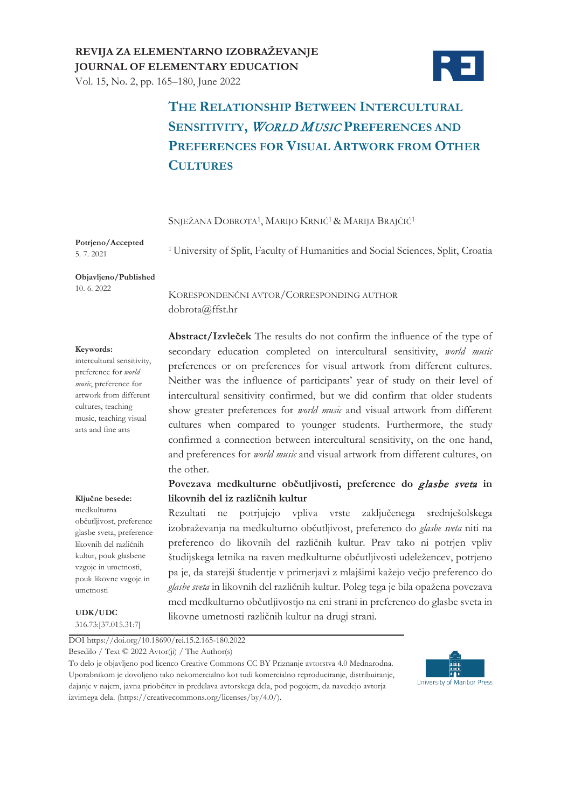## **REVIJA ZA ELEMENTARNO IZOBRAŽEVANJE JOURNAL OF ELEMENTARY EDUCATION**

Vol. 15, No. 2, pp. 165–180, June 2022



# **THE RELATIONSHIP BETWEEN INTERCULTURAL SENSITIVITY,** <sup>W</sup>ORLD MUSIC **PREFERENCES AND PREFERENCES FOR VISUAL ARTWORK FROM OTHER CULTURES**

SNJEŽANA DOBROTA1, MARIJO KRNIĆ1& MARIJA BRAJČIĆ<sup>1</sup>

**Potrjeno/Accepted**  5. 7. 2021

<sup>1</sup> University of Split, Faculty of Humanities and Social Sciences, Split, Croatia

**Objavljeno/Published** 10. 6. 2022

KORESPONDENČNI AVTOR/CORRESPONDING AUTHOR dobrota@ffst.hr

#### **Keywords:**

intercultural sensitivity, preference for *world music*, preference for artwork from different cultures, teaching music, teaching visual arts and fine arts

## **Abstract/Izvleček** The results do not confirm the influence of the type of secondary education completed on intercultural sensitivity, *world music* preferences or on preferences for visual artwork from different cultures. Neither was the influence of participants' year of study on their level of intercultural sensitivity confirmed, but we did confirm that older students show greater preferences for *world music* and visual artwork from different cultures when compared to younger students. Furthermore, the study confirmed a connection between intercultural sensitivity, on the one hand, and preferences for *world music* and visual artwork from different cultures, on the other.

### **Povezava medkulturne občutljivosti, preference do** glasbe sveta **in likovnih del iz različnih kultur**

medkulturna občutljivost, preference glasbe sveta, preference likovnih del različnih kultur, pouk glasbene vzgoje in umetnosti, pouk likovne vzgoje in umetnosti

**Ključne besede:**

**UDK/UDC** 316.73:[37.015.31:7] Rezultati ne potrjujejo vpliva vrste zaključenega srednješolskega izobraževanja na medkulturno občutljivost, preferenco do *glasbe sveta* niti na preferenco do likovnih del različnih kultur. Prav tako ni potrjen vpliv študijskega letnika na raven medkulturne občutljivosti udeležencev, potrjeno pa je, da starejši študentje v primerjavi z mlajšimi kažejo večjo preferenco do *glasbe sveta* in likovnih del različnih kultur. Poleg tega je bila opažena povezava med medkulturno občutljivostjo na eni strani in preferenco do glasbe sveta in likovne umetnosti različnih kultur na drugi strani.

DOI https://doi.org/10.18690/rei.15.2.165-180.2022

Besedilo / Text © 2022 Avtor(ji) / The Author(s)

To delo je objavljeno pod licenco Creative Commons CC BY Priznanje avtorstva 4.0 Mednarodna. Uporabnikom je dovoljeno tako nekomercialno kot tudi komercialno reproduciranje, distribuiranje, dajanje v najem, javna priobčitev in predelava avtorskega dela, pod pogojem, da navedejo avtorja izvirnega dela. (https://creativecommons.org/licenses/by/4.0/).

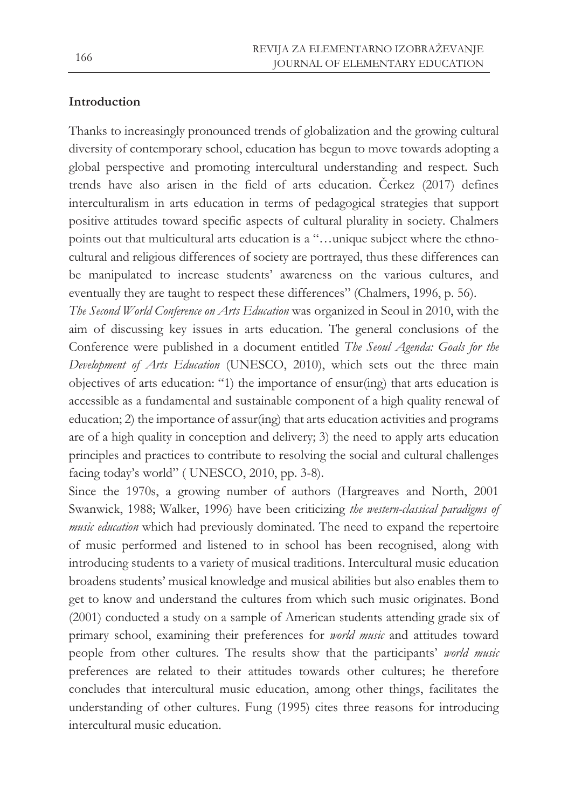## **Introduction**

Thanks to increasingly pronounced trends of globalization and the growing cultural diversity of contemporary school, education has begun to move towards adopting a global perspective and promoting intercultural understanding and respect. Such trends have also arisen in the field of arts education. Čerkez (2017) defines interculturalism in arts education in terms of pedagogical strategies that support positive attitudes toward specific aspects of cultural plurality in society. Chalmers points out that multicultural arts education is a "…unique subject where the ethnocultural and religious differences of society are portrayed, thus these differences can be manipulated to increase students' awareness on the various cultures, and eventually they are taught to respect these differences" (Chalmers, 1996, p. 56).

*The Second World Conference on Arts Education* was organized in Seoul in 2010, with the aim of discussing key issues in arts education. The general conclusions of the Conference were published in a document entitled *The Seoul Agenda: Goals for the Development of Arts Education* (UNESCO, 2010), which sets out the three main objectives of arts education: "1) the importance of ensur(ing) that arts education is accessible as a fundamental and sustainable component of a high quality renewal of education; 2) the importance of assur(ing) that arts education activities and programs are of a high quality in conception and delivery; 3) the need to apply arts education principles and practices to contribute to resolving the social and cultural challenges facing today's world" ( UNESCO, 2010, pp. 3-8).

Since the 1970s, a growing number of authors (Hargreaves and North, 2001 Swanwick, 1988; Walker, 1996) have been criticizing *the western-classical paradigms of music education* which had previously dominated. The need to expand the repertoire of music performed and listened to in school has been recognised, along with introducing students to a variety of musical traditions. Intercultural music education broadens students' musical knowledge and musical abilities but also enables them to get to know and understand the cultures from which such music originates. Bond (2001) conducted a study on a sample of American students attending grade six of primary school, examining their preferences for *world music* and attitudes toward people from other cultures. The results show that the participants' *world music*  preferences are related to their attitudes towards other cultures; he therefore concludes that intercultural music education, among other things, facilitates the understanding of other cultures. Fung (1995) cites three reasons for introducing intercultural music education.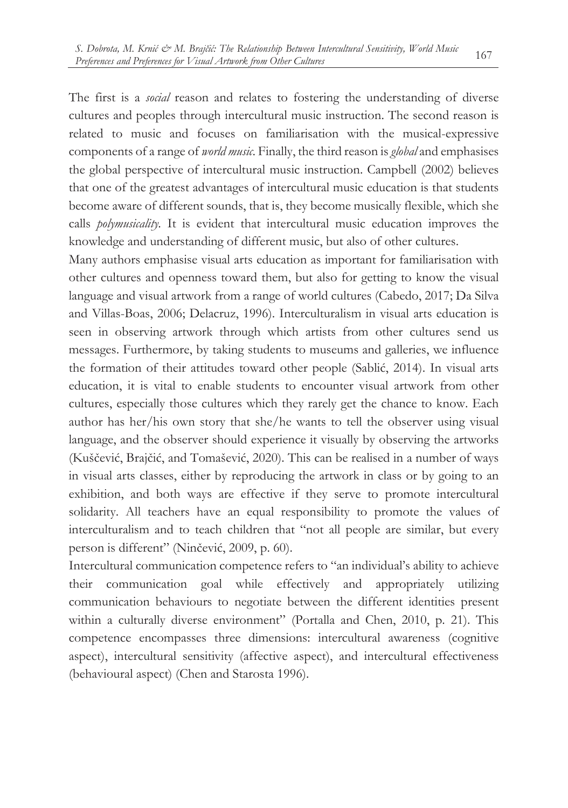The first is a *social* reason and relates to fostering the understanding of diverse cultures and peoples through intercultural music instruction. The second reason is related to music and focuses on familiarisation with the musical-expressive components of a range of *world music.* Finally, the third reason is *global* and emphasises the global perspective of intercultural music instruction. Campbell (2002) believes that one of the greatest advantages of intercultural music education is that students become aware of different sounds, that is, they become musically flexible, which she calls *polymusicality.* It is evident that intercultural music education improves the knowledge and understanding of different music, but also of other cultures.

Many authors emphasise visual arts education as important for familiarisation with other cultures and openness toward them, but also for getting to know the visual language and visual artwork from a range of world cultures (Cabedo, 2017; Da Silva and Villas-Boas, 2006; Delacruz, 1996). Interculturalism in visual arts education is seen in observing artwork through which artists from other cultures send us messages. Furthermore, by taking students to museums and galleries, we influence the formation of their attitudes toward other people (Sablić, 2014). In visual arts education, it is vital to enable students to encounter visual artwork from other cultures, especially those cultures which they rarely get the chance to know. Each author has her/his own story that she/he wants to tell the observer using visual language, and the observer should experience it visually by observing the artworks (Kuščević, Brajčić, and Tomašević, 2020). This can be realised in a number of ways in visual arts classes, either by reproducing the artwork in class or by going to an exhibition, and both ways are effective if they serve to promote intercultural solidarity. All teachers have an equal responsibility to promote the values of interculturalism and to teach children that "not all people are similar, but every person is different" (Ninčević, 2009, p. 60).

Intercultural communication competence refers to "an individual's ability to achieve their communication goal while effectively and appropriately utilizing communication behaviours to negotiate between the different identities present within a culturally diverse environment" (Portalla and Chen, 2010, p. 21). This competence encompasses three dimensions: intercultural awareness (cognitive aspect), intercultural sensitivity (affective aspect), and intercultural effectiveness (behavioural aspect) (Chen and Starosta 1996).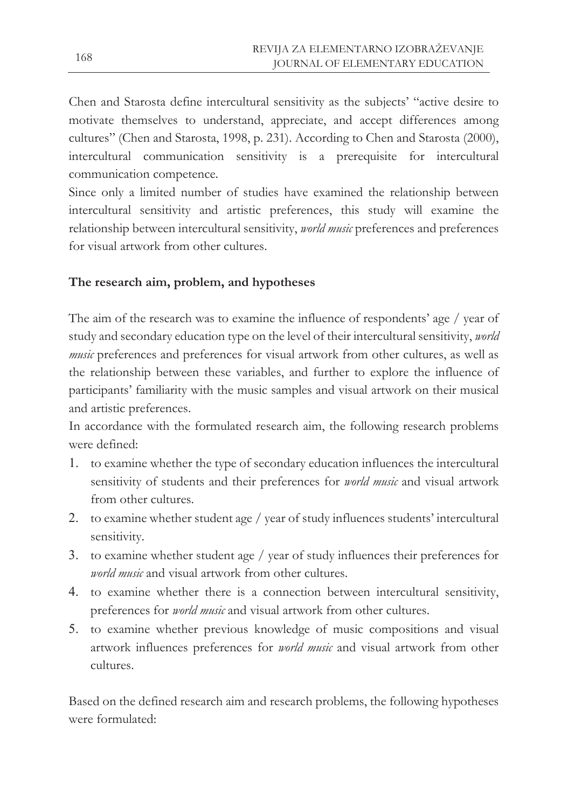Chen and Starosta define intercultural sensitivity as the subjects' "active desire to motivate themselves to understand, appreciate, and accept differences among cultures" (Chen and Starosta, 1998, p. 231). According to Chen and Starosta (2000), intercultural communication sensitivity is a prerequisite for intercultural communication competence.

Since only a limited number of studies have examined the relationship between intercultural sensitivity and artistic preferences, this study will examine the relationship between intercultural sensitivity, *world music* preferences and preferences for visual artwork from other cultures.

## **The research aim, problem, and hypotheses**

The aim of the research was to examine the influence of respondents' age / year of study and secondary education type on the level of their intercultural sensitivity, *world music* preferences and preferences for visual artwork from other cultures, as well as the relationship between these variables, and further to explore the influence of participants' familiarity with the music samples and visual artwork on their musical and artistic preferences.

In accordance with the formulated research aim, the following research problems were defined:

- 1. to examine whether the type of secondary education influences the intercultural sensitivity of students and their preferences for *world music* and visual artwork from other cultures.
- 2. to examine whether student age / year of study influences students' intercultural sensitivity.
- 3. to examine whether student age / year of study influences their preferences for *world music* and visual artwork from other cultures.
- 4. to examine whether there is a connection between intercultural sensitivity, preferences for *world music* and visual artwork from other cultures.
- 5. to examine whether previous knowledge of music compositions and visual artwork influences preferences for *world music* and visual artwork from other cultures.

Based on the defined research aim and research problems, the following hypotheses were formulated: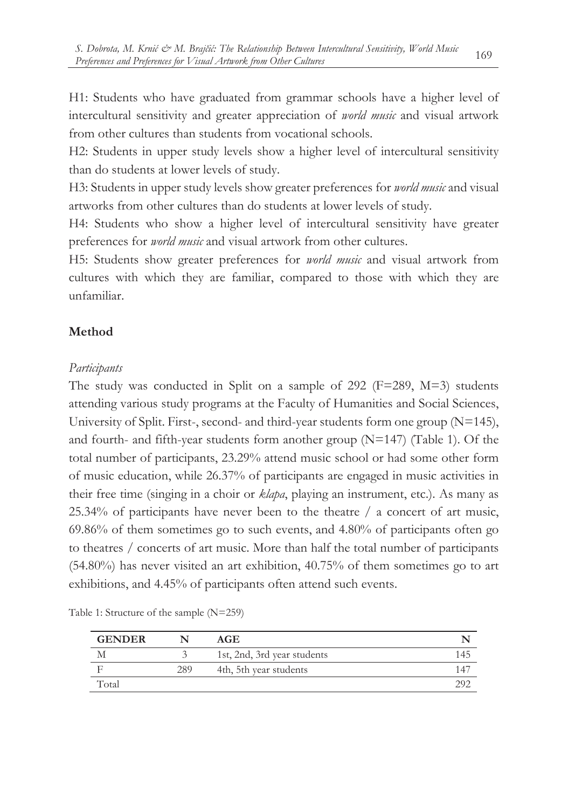H1: Students who have graduated from grammar schools have a higher level of intercultural sensitivity and greater appreciation of *world music* and visual artwork from other cultures than students from vocational schools.

H2: Students in upper study levels show a higher level of intercultural sensitivity than do students at lower levels of study.

H3: Students in upper study levels show greater preferences for *world music* and visual artworks from other cultures than do students at lower levels of study.

H4: Students who show a higher level of intercultural sensitivity have greater preferences for *world music* and visual artwork from other cultures.

H5: Students show greater preferences for *world music* and visual artwork from cultures with which they are familiar, compared to those with which they are unfamiliar.

## **Method**

### *Participants*

The study was conducted in Split on a sample of 292 (F=289, M=3) students attending various study programs at the Faculty of Humanities and Social Sciences, University of Split. First-, second- and third-year students form one group (N=145), and fourth- and fifth-year students form another group (N=147) (Table 1). Of the total number of participants, 23.29% attend music school or had some other form of music education, while 26.37% of participants are engaged in music activities in their free time (singing in a choir or *klapa*, playing an instrument, etc.). As many as 25.34% of participants have never been to the theatre / a concert of art music, 69.86% of them sometimes go to such events, and 4.80% of participants often go to theatres / concerts of art music. More than half the total number of participants (54.80%) has never visited an art exhibition, 40.75% of them sometimes go to art exhibitions, and 4.45% of participants often attend such events.

| <b>GENDER</b> |     | AGE                         |     |
|---------------|-----|-----------------------------|-----|
| М             |     | 1st, 2nd, 3rd year students | .45 |
|               | 289 | 4th, 5th year students      |     |
| Total         |     |                             |     |

Table 1: Structure of the sample (N=259)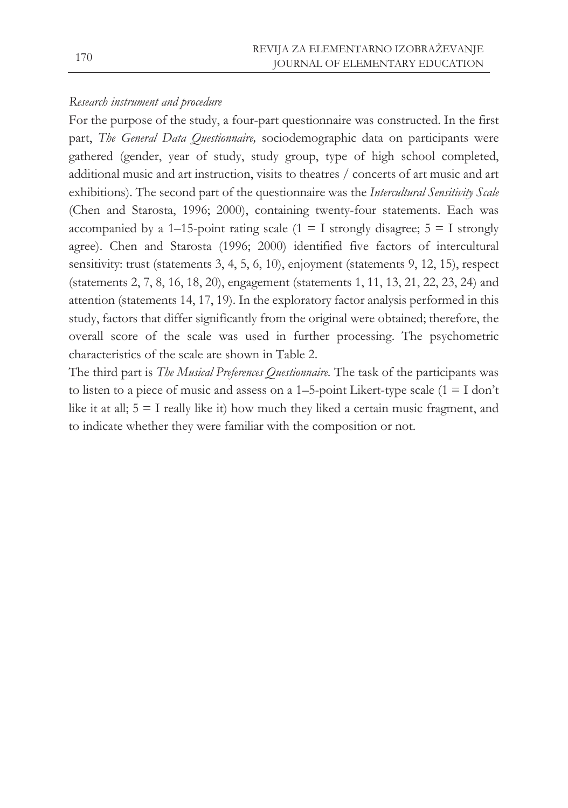### *Research instrument and procedure*

For the purpose of the study, a four-part questionnaire was constructed. In the first part, *The General Data Questionnaire,* sociodemographic data on participants were gathered (gender, year of study, study group, type of high school completed, additional music and art instruction, visits to theatres / concerts of art music and art exhibitions). The second part of the questionnaire was the *Intercultural Sensitivity Scale*  (Chen and Starosta, 1996; 2000), containing twenty-four statements. Each was accompanied by a 1–15-point rating scale (1 = I strongly disagree;  $5 = I$  strongly agree). Chen and Starosta (1996; 2000) identified five factors of intercultural sensitivity: trust (statements 3, 4, 5, 6, 10), enjoyment (statements 9, 12, 15), respect (statements 2, 7, 8, 16, 18, 20), engagement (statements 1, 11, 13, 21, 22, 23, 24) and attention (statements 14, 17, 19). In the exploratory factor analysis performed in this study, factors that differ significantly from the original were obtained; therefore, the overall score of the scale was used in further processing. The psychometric characteristics of the scale are shown in Table 2.

The third part is *The Musical Preferences Questionnaire.* The task of the participants was to listen to a piece of music and assess on a  $1-5$ -point Likert-type scale  $(1 = I \text{ don't})$ like it at all;  $5 = I$  really like it) how much they liked a certain music fragment, and to indicate whether they were familiar with the composition or not.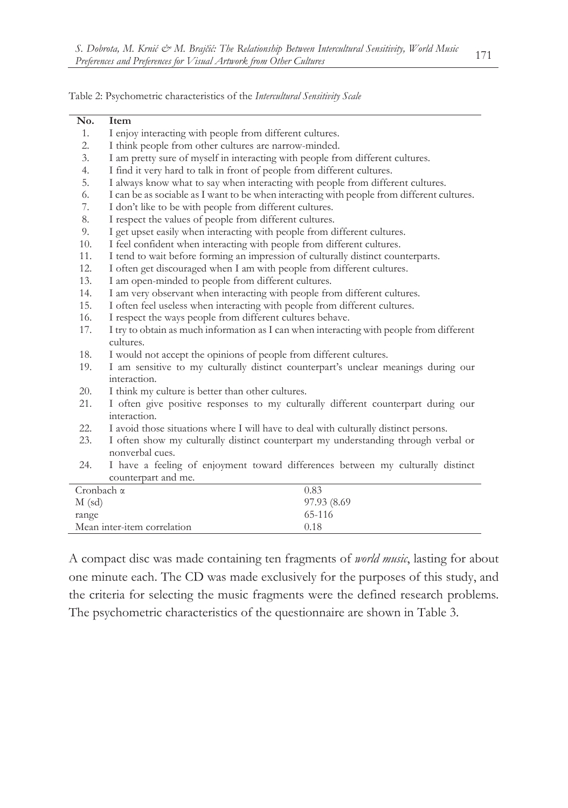Table 2: Psychometric characteristics of the *Intercultural Sensitivity Scale*

| No.               | Item                                                                                       |  |  |  |  |  |
|-------------------|--------------------------------------------------------------------------------------------|--|--|--|--|--|
| 1.                | I enjoy interacting with people from different cultures.                                   |  |  |  |  |  |
| 2.                | I think people from other cultures are narrow-minded.                                      |  |  |  |  |  |
| 3.                | I am pretty sure of myself in interacting with people from different cultures.             |  |  |  |  |  |
| 4.                | I find it very hard to talk in front of people from different cultures.                    |  |  |  |  |  |
| 5.                | I always know what to say when interacting with people from different cultures.            |  |  |  |  |  |
| 6.                | I can be as sociable as I want to be when interacting with people from different cultures. |  |  |  |  |  |
| 7.                | I don't like to be with people from different cultures.                                    |  |  |  |  |  |
| 8.                | I respect the values of people from different cultures.                                    |  |  |  |  |  |
| 9.                | I get upset easily when interacting with people from different cultures.                   |  |  |  |  |  |
| 10.               | I feel confident when interacting with people from different cultures.                     |  |  |  |  |  |
| 11.               | I tend to wait before forming an impression of culturally distinct counterparts.           |  |  |  |  |  |
| 12.               | I often get discouraged when I am with people from different cultures.                     |  |  |  |  |  |
| 13.               | I am open-minded to people from different cultures.                                        |  |  |  |  |  |
| 14.               | I am very observant when interacting with people from different cultures.                  |  |  |  |  |  |
| 15.               | I often feel useless when interacting with people from different cultures.                 |  |  |  |  |  |
| 16.               | I respect the ways people from different cultures behave.                                  |  |  |  |  |  |
| 17.               | I try to obtain as much information as I can when interacting with people from different   |  |  |  |  |  |
|                   | cultures.                                                                                  |  |  |  |  |  |
| 18.               | I would not accept the opinions of people from different cultures.                         |  |  |  |  |  |
| 19.               | I am sensitive to my culturally distinct counterpart's unclear meanings during our         |  |  |  |  |  |
|                   | interaction.                                                                               |  |  |  |  |  |
| 20.               | I think my culture is better than other cultures.                                          |  |  |  |  |  |
| 21.               | I often give positive responses to my culturally different counterpart during our          |  |  |  |  |  |
|                   | interaction.                                                                               |  |  |  |  |  |
| 22.               | I avoid those situations where I will have to deal with culturally distinct persons.       |  |  |  |  |  |
| 23.               | I often show my culturally distinct counterpart my understanding through verbal or         |  |  |  |  |  |
|                   | nonverbal cues.                                                                            |  |  |  |  |  |
| 24.               | I have a feeling of enjoyment toward differences between my culturally distinct            |  |  |  |  |  |
|                   | counterpart and me.                                                                        |  |  |  |  |  |
| Cronbach $\alpha$ | 0.83                                                                                       |  |  |  |  |  |
| $M$ (sd)          | 97.93 (8.69                                                                                |  |  |  |  |  |
| range             | 65-116                                                                                     |  |  |  |  |  |
|                   | Mean inter-item correlation<br>0.18                                                        |  |  |  |  |  |

A compact disc was made containing ten fragments of *world music*, lasting for about one minute each. The CD was made exclusively for the purposes of this study, and the criteria for selecting the music fragments were the defined research problems. The psychometric characteristics of the questionnaire are shown in Table 3.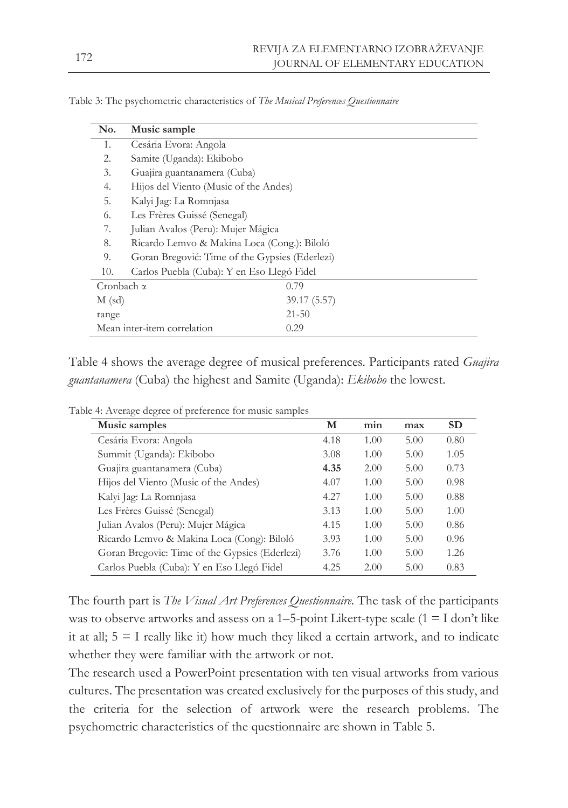| No.               | Music sample                                   |              |
|-------------------|------------------------------------------------|--------------|
| 1.                | Cesária Evora: Angola                          |              |
| 2.                | Samite (Uganda): Ekibobo                       |              |
| 3.                | Guajira guantanamera (Cuba)                    |              |
| 4.                | Hijos del Viento (Music of the Andes)          |              |
| 5.                | Kalyi Jag: La Romnjasa                         |              |
| 6.                | Les Frères Guissé (Senegal)                    |              |
| 7.                | Julian Avalos (Peru): Mujer Mágica             |              |
| 8.                | Ricardo Lemvo & Makina Loca (Cong.): Biloló    |              |
| 9.                | Goran Bregović: Time of the Gypsies (Ederlezi) |              |
| 10.               | Carlos Puebla (Cuba): Y en Eso Llegó Fidel     |              |
| Cronbach $\alpha$ |                                                | 0.79         |
| $M$ (sd)          |                                                | 39.17 (5.57) |
| range             |                                                | $21 - 50$    |
|                   | Mean inter-item correlation                    | 0.29         |

Table 3: The psychometric characteristics of *The Musical Preferences Questionnaire*

Table 4 shows the average degree of musical preferences. Participants rated *Guajira guantanamera* (Cuba) the highest and Samite (Uganda): *Ekibobo* the lowest.

| Music samples                                  | М    | min  | max  | <b>SD</b> |
|------------------------------------------------|------|------|------|-----------|
| Cesária Evora: Angola                          | 4.18 | 1.00 | 5.00 | 0.80      |
| Summit (Uganda): Ekibobo                       | 3.08 | 1.00 | 5.00 | 1.05      |
| Guajira guantanamera (Cuba)                    | 4.35 | 2.00 | 5.00 | 0.73      |
| Hijos del Viento (Music of the Andes)          | 4.07 | 1.00 | 5.00 | 0.98      |
| Kalyi Jag: La Romnjasa                         | 4.27 | 1.00 | 5.00 | 0.88      |
| Les Frères Guissé (Senegal)                    | 3.13 | 1.00 | 5.00 | 1.00      |
| Julian Avalos (Peru): Mujer Mágica             | 4.15 | 1.00 | 5.00 | 0.86      |
| Ricardo Lemvo & Makina Loca (Cong): Biloló     | 3.93 | 1.00 | 5.00 | 0.96      |
| Goran Bregovic: Time of the Gypsies (Ederlezi) | 3.76 | 1.00 | 5.00 | 1.26      |
| Carlos Puebla (Cuba): Y en Eso Llegó Fidel     | 4.25 | 2.00 | 5.00 | 0.83      |

Table 4: Average degree of preference for music samples

The fourth part is *The Visual Art Preferences Questionnaire.* The task of the participants was to observe artworks and assess on a 1-5-point Likert-type scale  $(1 = I \text{ don't like})$ it at all;  $5 = I$  really like it) how much they liked a certain artwork, and to indicate whether they were familiar with the artwork or not.

The research used a PowerPoint presentation with ten visual artworks from various cultures. The presentation was created exclusively for the purposes of this study, and the criteria for the selection of artwork were the research problems. The psychometric characteristics of the questionnaire are shown in Table 5.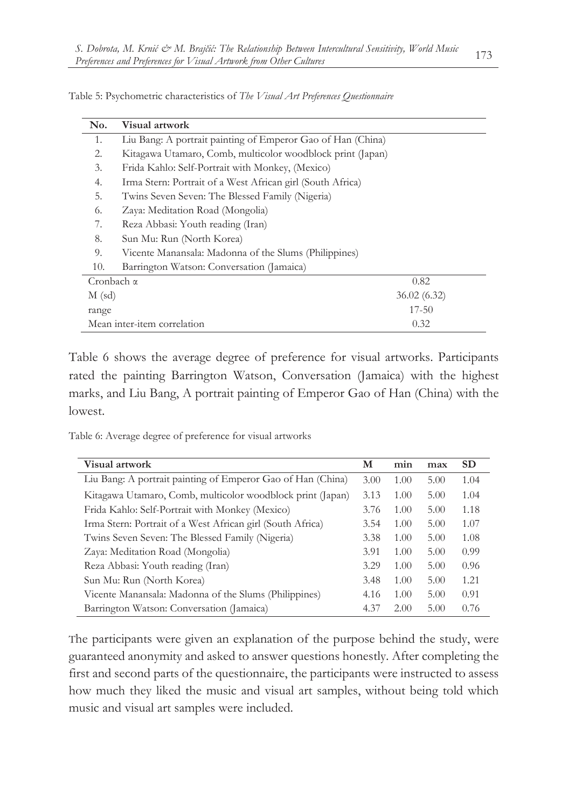| No.               | Visual artwork                                              |
|-------------------|-------------------------------------------------------------|
| 1.                | Liu Bang: A portrait painting of Emperor Gao of Han (China) |
| 2.                | Kitagawa Utamaro, Comb, multicolor woodblock print (Japan)  |
| 3.                | Frida Kahlo: Self-Portrait with Monkey, (Mexico)            |
| 4.                | Irma Stern: Portrait of a West African girl (South Africa)  |
| 5.                | Twins Seven Seven: The Blessed Family (Nigeria)             |
| 6.                | Zaya: Meditation Road (Mongolia)                            |
| 7.                | Reza Abbasi: Youth reading (Iran)                           |
| 8.                | Sun Mu: Run (North Korea)                                   |
| 9.                | Vicente Manansala: Madonna of the Slums (Philippines)       |
| 10.               | Barrington Watson: Conversation (Jamaica)                   |
| Cronbach $\alpha$ | 0.82                                                        |
| $M$ (sd)          | 36.02(6.32)                                                 |
| range             | $17 - 50$                                                   |
|                   | 0.32<br>Mean inter-item correlation                         |

Table 5: Psychometric characteristics of *The Visual Art Preferences Questionnaire*

Table 6 shows the average degree of preference for visual artworks. Participants rated the painting Barrington Watson, Conversation (Jamaica) with the highest marks, and Liu Bang, A portrait painting of Emperor Gao of Han (China) with the lowest.

Table 6: Average degree of preference for visual artworks

| Visual artwork                                              | м    | min  | max  | <b>SD</b> |
|-------------------------------------------------------------|------|------|------|-----------|
| Liu Bang: A portrait painting of Emperor Gao of Han (China) | 3.00 | 1.00 | 5.00 | 1.04      |
| Kitagawa Utamaro, Comb, multicolor woodblock print (Japan)  | 3.13 | 1.00 | 5.00 | 1.04      |
| Frida Kahlo: Self-Portrait with Monkey (Mexico)             | 3.76 | 1.00 | 5.00 | 1.18      |
| Irma Stern: Portrait of a West African girl (South Africa)  | 3.54 | 1.00 | 5.00 | 1.07      |
| Twins Seven Seven: The Blessed Family (Nigeria)             | 3.38 | 1.00 | 5.00 | 1.08      |
| Zaya: Meditation Road (Mongolia)                            | 3.91 | 1.00 | 5.00 | 0.99      |
| Reza Abbasi: Youth reading (Iran)                           | 3.29 | 1.00 | 5.00 | 0.96      |
| Sun Mu: Run (North Korea)                                   | 3.48 | 1.00 | 5.00 | 1.21      |
| Vicente Manansala: Madonna of the Slums (Philippines)       | 4.16 | 1.00 | 5.00 | 0.91      |
| Barrington Watson: Conversation (Jamaica)                   | 4.37 | 2.00 | 5.00 | 0.76      |

The participants were given an explanation of the purpose behind the study, were guaranteed anonymity and asked to answer questions honestly. After completing the first and second parts of the questionnaire, the participants were instructed to assess how much they liked the music and visual art samples, without being told which music and visual art samples were included.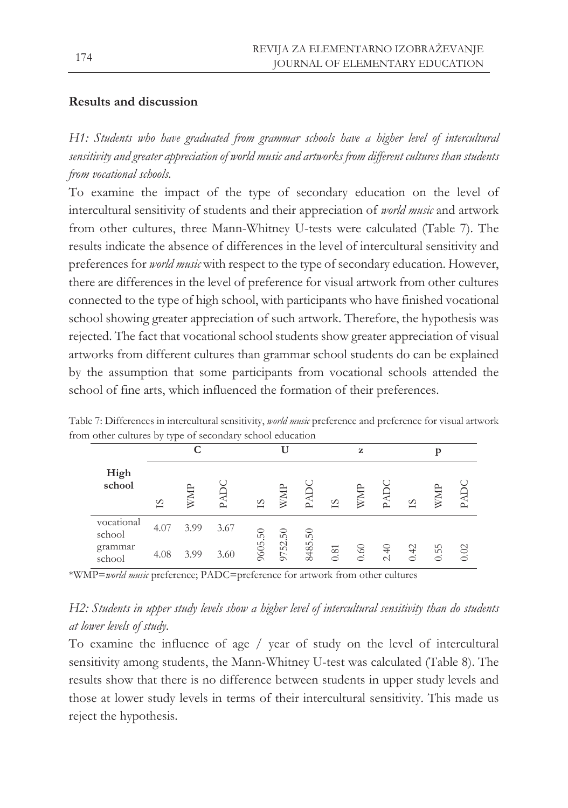### **Results and discussion**

*H1: Students who have graduated from grammar schools have a higher level of intercultural sensitivity and greater appreciation of world music and artworks from different cultures than students from vocational schools.*

To examine the impact of the type of secondary education on the level of intercultural sensitivity of students and their appreciation of *world music* and artwork from other cultures, three Mann-Whitney U-tests were calculated (Table 7). The results indicate the absence of differences in the level of intercultural sensitivity and preferences for *world music* with respect to the type of secondary education. However, there are differences in the level of preference for visual artwork from other cultures connected to the type of high school, with participants who have finished vocational school showing greater appreciation of such artwork. Therefore, the hypothesis was rejected. The fact that vocational school students show greater appreciation of visual artworks from different cultures than grammar school students do can be explained by the assumption that some participants from vocational schools attended the school of fine arts, which influenced the formation of their preferences.

|                      |      | ⌒    |      |         |         |         |      | z    |      |           | n    |        |
|----------------------|------|------|------|---------|---------|---------|------|------|------|-----------|------|--------|
| High<br>school       | SI   |      | ല    | SI      |         | $\sim$  | 51   |      | ല    | SI        |      | $\sim$ |
| vocational<br>school | 4.07 | 3.99 | 3.67 |         |         |         |      |      |      |           |      |        |
| grammar<br>school    | 4.08 | 3.99 | 3.60 | 9605.50 | 9752.50 | 8485.50 | 0.81 | 0.60 | 2.40 | $\dot{+}$ | 0.55 | 0.02   |

Table 7: Differences in intercultural sensitivity, *world music* preference and preference for visual artwork from other cultures by type of secondary school education

\*WMP=*world music* preference; PADC=preference for artwork from other cultures

## *H2: Students in upper study levels show a higher level of intercultural sensitivity than do students at lower levels of study.*

To examine the influence of age / year of study on the level of intercultural sensitivity among students, the Mann-Whitney U-test was calculated (Table 8). The results show that there is no difference between students in upper study levels and those at lower study levels in terms of their intercultural sensitivity. This made us reject the hypothesis.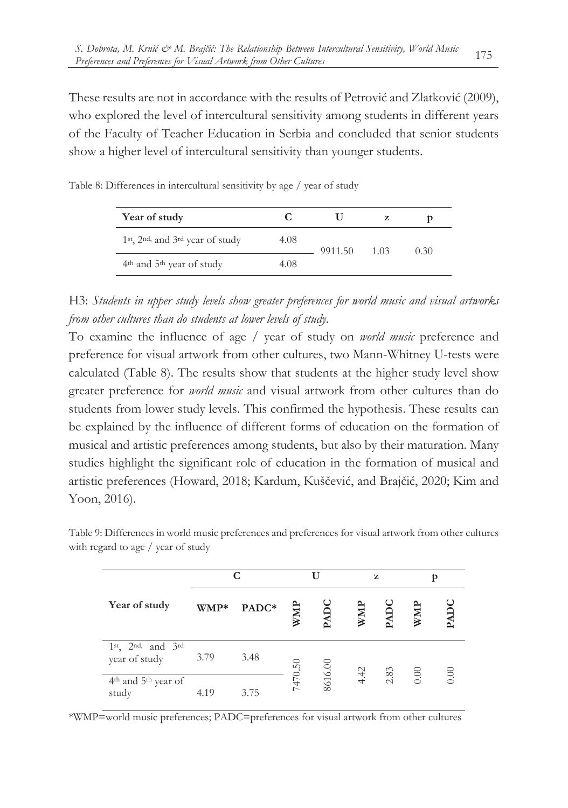These results are not in accordance with the results of Petrović and Zlatković (2009), who explored the level of intercultural sensitivity among students in different years of the Faculty of Teacher Education in Serbia and concluded that senior students show a higher level of intercultural sensitivity than younger students.

| Year of study                                                          |      |         | Z    | D    |
|------------------------------------------------------------------------|------|---------|------|------|
| 1 <sup>st</sup> , 2 <sup>nd,</sup> and $3$ <sup>rd</sup> year of study | 4.08 | 9911.50 | 1.03 | 0.30 |
| 4 <sup>th</sup> and 5 <sup>th</sup> year of study                      | 4.08 |         |      |      |

Table 8: Differences in intercultural sensitivity by age / year of study

H3: *Students in upper study levels show greater preferences for world music and visual artworks from other cultures than do students at lower levels of study.*

To examine the influence of age / year of study on *world music* preference and preference for visual artwork from other cultures, two Mann-Whitney U-tests were calculated (Table 8). The results show that students at the higher study level show greater preference for *world music* and visual artwork from other cultures than do students from lower study levels. This confirmed the hypothesis. These results can be explained by the influence of different forms of education on the formation of musical and artistic preferences among students, but also by their maturation. Many studies highlight the significant role of education in the formation of musical and artistic preferences (Howard, 2018; Kardum, Kuščević, and Brajčić, 2020; Kim and Yoon, 2016).

|                                                      |      | С     |         | U       |      | z    |      |      |
|------------------------------------------------------|------|-------|---------|---------|------|------|------|------|
| Year of study                                        | WMP* | PADC* | WMP     | PAD     |      |      |      | DAD  |
| $1st$ , $2nd$ , and $3rd$<br>year of study           | 3.79 | 3.48  |         |         | 4.42 |      |      |      |
| 4 <sup>th</sup> and 5 <sup>th</sup> year of<br>study | 4.19 | 3.75  | 7470.50 | 8616.00 |      | 2.83 | 0.00 | 0.00 |

Table 9: Differences in world music preferences and preferences for visual artwork from other cultures with regard to age / year of study

\*WMP=world music preferences; PADC=preferences for visual artwork from other cultures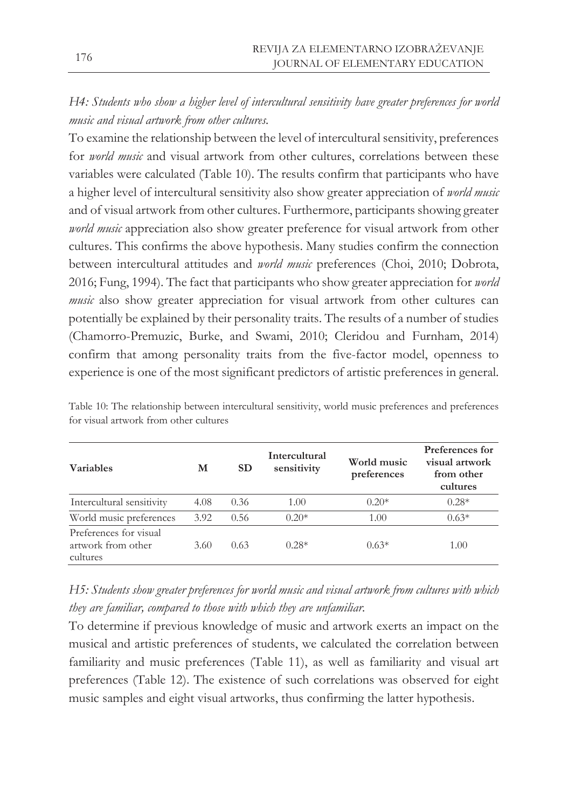*H4: Students who show a higher level of intercultural sensitivity have greater preferences for world music and visual artwork from other cultures.* 

To examine the relationship between the level of intercultural sensitivity, preferences for *world music* and visual artwork from other cultures, correlations between these variables were calculated (Table 10). The results confirm that participants who have a higher level of intercultural sensitivity also show greater appreciation of *world music*  and of visual artwork from other cultures. Furthermore, participants showing greater *world music* appreciation also show greater preference for visual artwork from other cultures. This confirms the above hypothesis. Many studies confirm the connection between intercultural attitudes and *world music* preferences (Choi, 2010; Dobrota, 2016; Fung, 1994). The fact that participants who show greater appreciation for *world music* also show greater appreciation for visual artwork from other cultures can potentially be explained by their personality traits. The results of a number of studies (Chamorro-Premuzic, Burke, and Swami, 2010; Cleridou and Furnham, 2014) confirm that among personality traits from the five-factor model, openness to experience is one of the most significant predictors of artistic preferences in general.

| <b>Variables</b>                                         | M    | <b>SD</b> | Intercultural<br>sensitivity | World music<br>preferences | Preferences for<br>visual artwork<br>from other<br>cultures |
|----------------------------------------------------------|------|-----------|------------------------------|----------------------------|-------------------------------------------------------------|
| Intercultural sensitivity                                | 4.08 | 0.36      | 1.00                         | $0.20*$                    | $0.28*$                                                     |
| World music preferences                                  | 3.92 | 0.56      | $0.20*$                      | 1.00                       | $0.63*$                                                     |
| Preferences for visual<br>artwork from other<br>cultures | 3.60 | 0.63      | $0.28*$                      | $0.63*$                    | 1.00                                                        |

Table 10: The relationship between intercultural sensitivity, world music preferences and preferences for visual artwork from other cultures

*H5: Students show greater preferences for world music and visual artwork from cultures with which they are familiar, compared to those with which they are unfamiliar.*

To determine if previous knowledge of music and artwork exerts an impact on the musical and artistic preferences of students, we calculated the correlation between familiarity and music preferences (Table 11), as well as familiarity and visual art preferences (Table 12). The existence of such correlations was observed for eight music samples and eight visual artworks, thus confirming the latter hypothesis.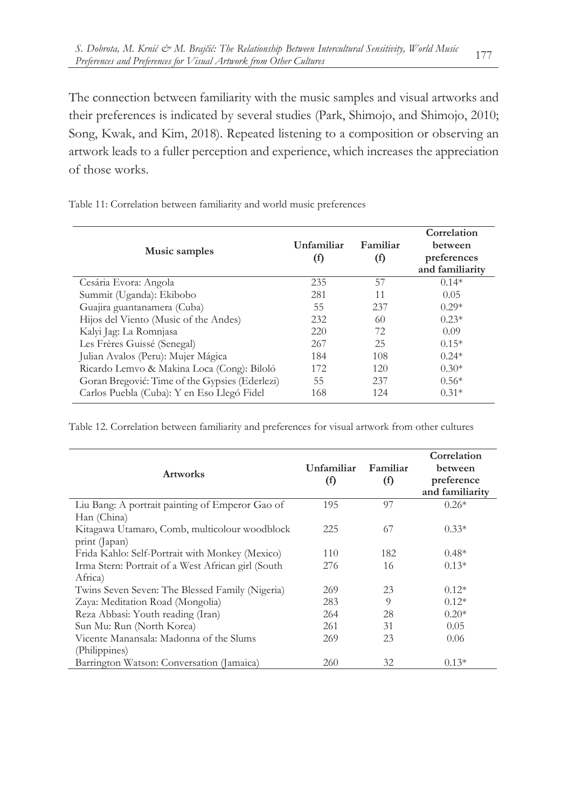The connection between familiarity with the music samples and visual artworks and their preferences is indicated by several studies (Park, Shimojo, and Shimojo, 2010; Song, Kwak, and Kim, 2018). Repeated listening to a composition or observing an artwork leads to a fuller perception and experience, which increases the appreciation of those works.

Table 11: Correlation between familiarity and world music preferences

| Unfamiliar | Familiar | Correlation<br><b>between</b> |
|------------|----------|-------------------------------|
| (f)        | $\rm(f)$ | preferences                   |
|            |          | and familiarity               |
| 235        | 57       | $0.14*$                       |
| 281        | 11       | 0.05                          |
| 55         | 237      | $0.29*$                       |
| 232        | 60       | $0.23*$                       |
| 220        | 72       | 0.09                          |
| 267        | 25       | $0.15*$                       |
| 184        | 108      | $0.24*$                       |
| 172        | 120      | $0.30*$                       |
| 55         | 237      | $0.56*$                       |
| 168        | 124      | $0.31*$                       |
|            |          |                               |

Table 12. Correlation between familiarity and preferences for visual artwork from other cultures

| <b>Artworks</b>                                     | Unfamiliar<br>(f) | Familiar<br>(f) | Correlation<br>between<br>preference<br>and familiarity |
|-----------------------------------------------------|-------------------|-----------------|---------------------------------------------------------|
| Liu Bang: A portrait painting of Emperor Gao of     | 195               | 97              | $0.26*$                                                 |
| Han (China)                                         |                   |                 |                                                         |
| Kitagawa Utamaro, Comb, multicolour woodblock       | 225               | 67              | $0.33*$                                                 |
| print (Japan)                                       |                   |                 |                                                         |
| Frida Kahlo: Self-Portrait with Monkey (Mexico)     | 110               | 182             | $0.48*$                                                 |
| Irma Stern: Portrait of a West African girl (South) | 276               | 16              | $0.13*$                                                 |
| Africa)                                             |                   |                 |                                                         |
| Twins Seven Seven: The Blessed Family (Nigeria)     | 269               | 23              | $0.12*$                                                 |
| Zaya: Meditation Road (Mongolia)                    | 283               | $\Omega$        | $0.12*$                                                 |
| Reza Abbasi: Youth reading (Iran)                   | 264               | 28              | $0.20*$                                                 |
| Sun Mu: Run (North Korea)                           | 261               | 31              | 0.05                                                    |
| Vicente Manansala: Madonna of the Slums             | 269               | 23              | 0.06                                                    |
| (Philippines)                                       |                   |                 |                                                         |
| Barrington Watson: Conversation (Jamaica)           | 260               | 32              | $0.13*$                                                 |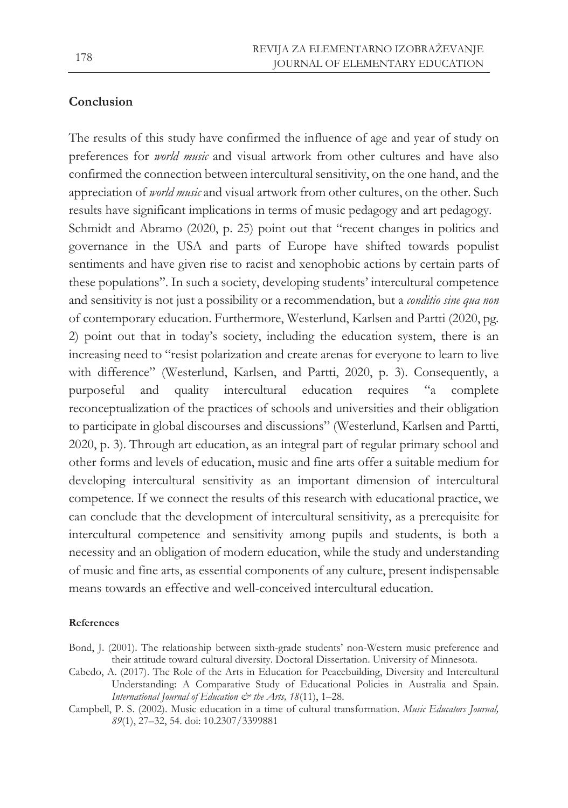### **Conclusion**

The results of this study have confirmed the influence of age and year of study on preferences for *world music* and visual artwork from other cultures and have also confirmed the connection between intercultural sensitivity, on the one hand, and the appreciation of *world music* and visual artwork from other cultures, on the other. Such results have significant implications in terms of music pedagogy and art pedagogy. Schmidt and Abramo (2020, p. 25) point out that "recent changes in politics and governance in the USA and parts of Europe have shifted towards populist sentiments and have given rise to racist and xenophobic actions by certain parts of these populations". In such a society, developing students' intercultural competence and sensitivity is not just a possibility or a recommendation, but a *conditio sine qua non*  of contemporary education. Furthermore, Westerlund, Karlsen and Partti (2020, pg. 2) point out that in today's society, including the education system, there is an increasing need to "resist polarization and create arenas for everyone to learn to live with difference" (Westerlund, Karlsen, and Partti, 2020, p. 3). Consequently, a purposeful and quality intercultural education requires "a complete reconceptualization of the practices of schools and universities and their obligation to participate in global discourses and discussions" (Westerlund, Karlsen and Partti, 2020, p. 3). Through art education, as an integral part of regular primary school and other forms and levels of education, music and fine arts offer a suitable medium for developing intercultural sensitivity as an important dimension of intercultural competence. If we connect the results of this research with educational practice, we can conclude that the development of intercultural sensitivity, as a prerequisite for intercultural competence and sensitivity among pupils and students, is both a necessity and an obligation of modern education, while the study and understanding of music and fine arts, as essential components of any culture, present indispensable means towards an effective and well-conceived intercultural education.

#### **References**

- Bond, J. (2001). The relationship between sixth-grade students' non-Western music preference and their attitude toward cultural diversity. Doctoral Dissertation. University of Minnesota.
- Cabedo, A. (2017). The Role of the Arts in Education for Peacebuilding, Diversity and Intercultural Understanding: A Comparative Study of Educational Policies in Australia and Spain. *International Journal of Education & the Arts, 18*(11), 1–28.
- Campbell, P. S. (2002). Music education in a time of cultural transformation. *Music Educators Journal, 89*(1), 27–32, 54. doi: 10.2307/3399881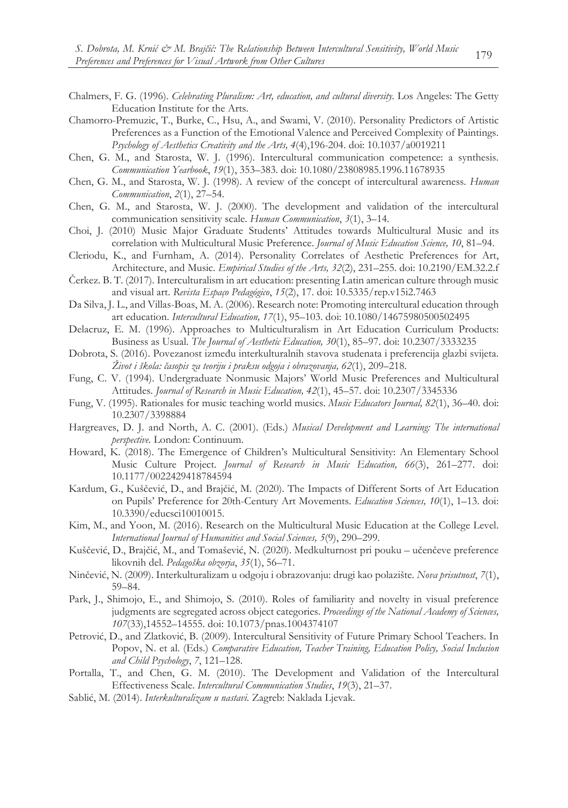- Chalmers, F. G. (1996). *Celebrating Pluralism: Art, education, and cultural diversity.* Los Angeles: The Getty Education Institute for the Arts.
- Chamorro-Premuzic, T., Burke, C., Hsu, A., and Swami, V. (2010). Personality Predictors of Artistic Preferences as a Function of the Emotional Valence and Perceived Complexity of Paintings. *Psychology of Aesthetics Creativity and the Arts, 4*(4),196-204. doi: 10.1037/a0019211
- Chen, G. M., and Starosta, W. J. (1996). Intercultural communication competence: a synthesis. *Communication Yearbook*, *19*(1), 353–383. doi: 10.1080/23808985.1996.11678935
- Chen, G. M., and Starosta, W. J. (1998). A review of the concept of intercultural awareness. *Human Communication*, *2*(1), 27–54.
- Chen, G. M., and Starosta, W. J. (2000). The development and validation of the intercultural communication sensitivity scale. *Human Communication*, *3*(1), 3–14.
- Choi, J. (2010) Music Major Graduate Students' Attitudes towards Multicultural Music and its correlation with Multicultural Music Preference. *Journal of Music Education Science, 10*, 81–94.
- Cleriodu, K., and Furnham, A. (2014). Personality Correlates of Aesthetic Preferences for Art, Architecture, and Music. *Empirical Studies of the Arts, 32*(2), 231–255. doi: 10.2190/EM.32.2.f
- Čerkez. B. T. (2017). Interculturalism in art education: presenting Latin american culture through music and visual art. *Revista Espaço Pedagógico*, *15*(2), 17. doi: 10.5335/rep.v15i2.7463
- Da Silva, J. L., and Villas-Boas, M. A. (2006). Research note: Promoting intercultural education through art education. *Intercultural Education, 17*(1), 95–103. doi: 10.1080/14675980500502495
- Delacruz, E. M. (1996). Approaches to Multiculturalism in Art Education Curriculum Products: Business as Usual. *The Journal of Aesthetic Education, 30*(1), 85–97. doi: 10.2307/3333235
- Dobrota, S. (2016). Povezanost između interkulturalnih stavova studenata i preferencija glazbi svijeta. *Život i škola: časopis za teoriju i praksu odgoja i obrazovanja, 62*(1), 209–218.
- Fung, C. V. (1994). Undergraduate Nonmusic Majors' World Music Preferences and Multicultural Attitudes. *Journal of Research in Music Education, 42*(1), 45–57. doi: 10.2307/3345336
- Fung, V. (1995). Rationales for music teaching world musics. *Music Educators Journal, 82*(1), 36–40. doi: 10.2307/3398884
- Hargreaves, D. J. and North, A. C. (2001). (Eds.) *Musical Development and Learning: The international perspective.* London: Continuum.
- Howard, K. (2018). The Emergence of Children's Multicultural Sensitivity: An Elementary School Music Culture Project. *Journal of Research in Music Education, 66*(3), 261–277. doi: 10.1177/0022429418784594
- Kardum, G., Kuščević, D., and Brajčić, M. (2020). The Impacts of Different Sorts of Art Education on Pupils' Preference for 20th-Century Art Movements. *Education Sciences, 10*(1), 1–13. doi: 10.3390/educsci10010015.
- Kim, M., and Yoon, M. (2016). Research on the Multicultural Music Education at the College Level. *International Journal of Humanities and Social Sciences, 5*(9), 290–299.
- Kuščević, D., Brajčić, M., and Tomašević, N. (2020). Medkulturnost pri pouku učenčeve preference likovnih del. *Pedagoška obzorja*, *35*(1), 56–71.
- Ninčević, N. (2009). Interkulturalizam u odgoju i obrazovanju: drugi kao polazište. *Nova prisutnost*, *7*(1), 59–84.
- Park, J., Shimojo, E., and Shimojo, S. (2010). Roles of familiarity and novelty in visual preference judgments are segregated across object categories. *Proceedings of the National Academy of Sciences, 107*(33),14552–14555. doi: 10.1073/pnas.1004374107
- Petrović, D., and Zlatković, B. (2009). Intercultural Sensitivity of Future Primary School Teachers. In Popov, N. et al. (Eds.) *Comparative Education, Teacher Training, Education Policy, Social Inclusion and Child Psychology*, *7*, 121–128.
- Portalla, T., and Chen, G. M. (2010). The Development and Validation of the Intercultural Effectiveness Scale. *Intercultural Communication Studies*, *19*(3), 21–37.
- Sablić, M. (2014). *Interkulturalizam u nastavi.* Zagreb: Naklada Ljevak.